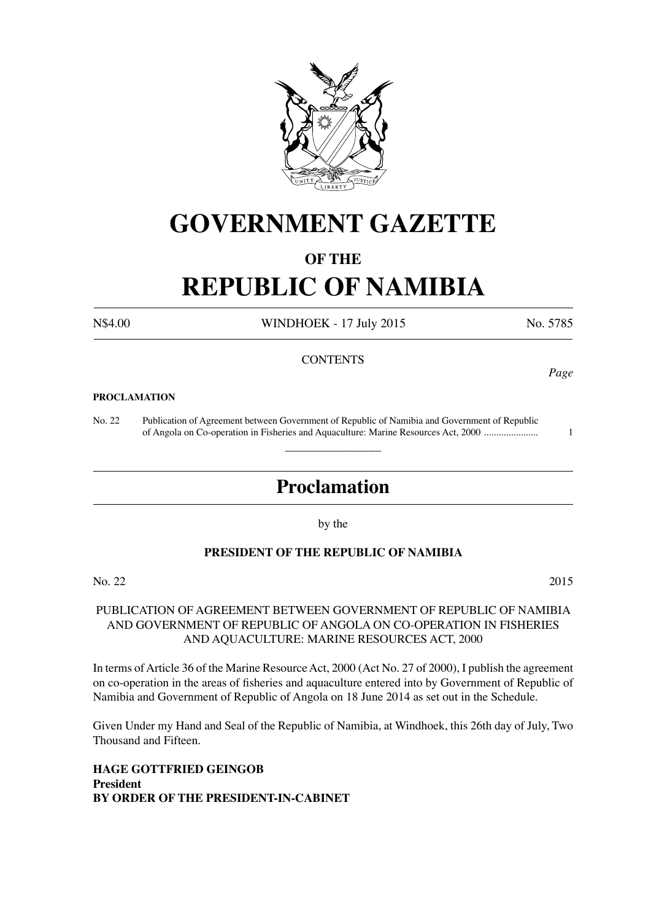

## **GOVERNMENT GAZETTE**

### **OF THE**

# **REPUBLIC OF NAMIBIA**

N\$4.00 WINDHOEK - 17 July 2015 No. 5785

#### **CONTENTS**

#### **PROCLAMATION**

No. 22 Publication of Agreement between Government of Republic of Namibia and Government of Republic of Angola on Co-operation in Fisheries and Aquaculture: Marine Resources Act, 2000 ...................... 1

### **Proclamation**

 $\overline{\phantom{a}}$  , where  $\overline{\phantom{a}}$ 

by the

#### **PRESIDENT OF THE REPUBLIC OF NAMIBIA**

No. 22 2015

#### PUBLICATION OF AGREEMENT BETWEEN GOVERNMENT OF REPUBLIC OF NAMIBIA AND GOVERNMENT OF REPUBLIC OF ANGOLA ON CO-OPERATION IN FISHERIES AND AQUACULTURE: MARINE RESOURCES ACT, 2000

In terms of Article 36 of the Marine Resource Act, 2000 (Act No. 27 of 2000), I publish the agreement on co-operation in the areas of fisheries and aquaculture entered into by Government of Republic of Namibia and Government of Republic of Angola on 18 June 2014 as set out in the Schedule.

Given Under my Hand and Seal of the Republic of Namibia, at Windhoek, this 26th day of July, Two Thousand and Fifteen.

**HAGE GOTTFRIED GEINGOB President BY ORDER OF THE PRESIDENT-IN-CABINET** *Page*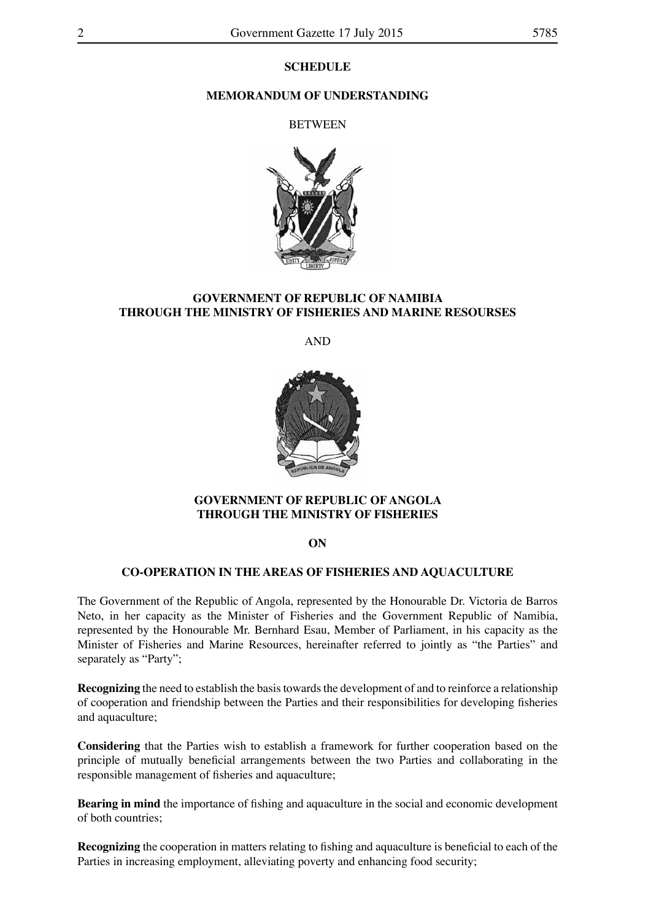#### **SCHEDULE**

#### **MEMORANDUM OF UNDERSTANDING**

**BETWEEN** 



#### **GOVERNMENT OF REPUBLIC OF NAMIBIA THROUGH THE MINISTRY OF FISHERIES AND MARINE RESOURSES**

AND



#### **GOVERNMENT OF REPUBLIC OF ANGOLA THROUGH THE MINISTRY OF FISHERIES**

**ON**

#### **CO-OPERATION IN THE AREAS OF FISHERIES AND AQUACULTURE**

The Government of the Republic of Angola, represented by the Honourable Dr. Victoria de Barros Neto, in her capacity as the Minister of Fisheries and the Government Republic of Namibia, represented by the Honourable Mr. Bernhard Esau, Member of Parliament, in his capacity as the Minister of Fisheries and Marine Resources, hereinafter referred to jointly as "the Parties" and separately as "Party";

**Recognizing** the need to establish the basis towards the development of and to reinforce a relationship of cooperation and friendship between the Parties and their responsibilities for developing fisheries and aquaculture;

**Considering** that the Parties wish to establish a framework for further cooperation based on the principle of mutually beneficial arrangements between the two Parties and collaborating in the responsible management of fisheries and aquaculture;

**Bearing in mind** the importance of fishing and aquaculture in the social and economic development of both countries;

**Recognizing** the cooperation in matters relating to fishing and aquaculture is beneficial to each of the Parties in increasing employment, alleviating poverty and enhancing food security;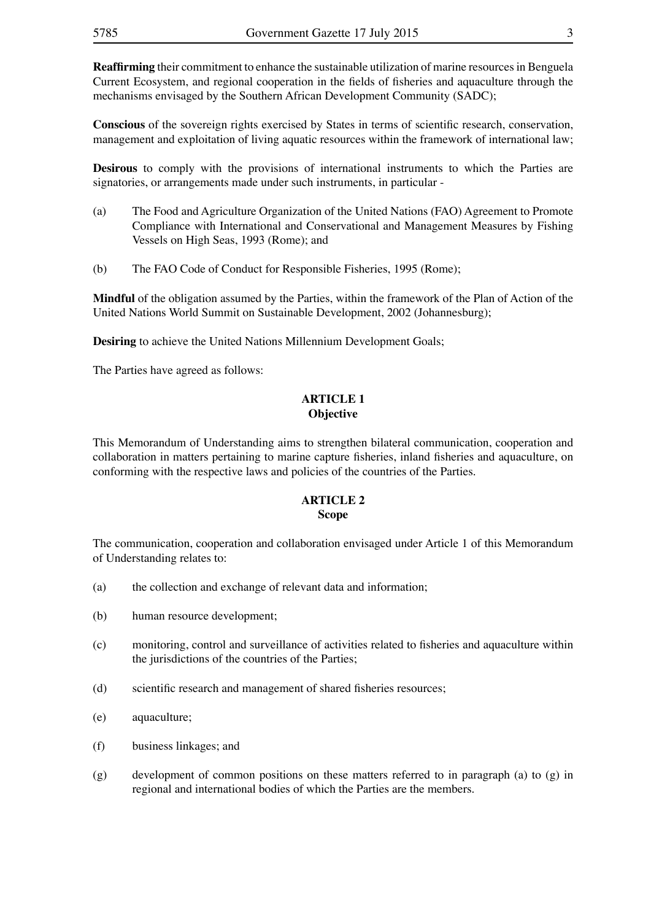**Reaffirming** their commitment to enhance the sustainable utilization of marine resources in Benguela Current Ecosystem, and regional cooperation in the fields of fisheries and aquaculture through the mechanisms envisaged by the Southern African Development Community (SADC);

**Conscious** of the sovereign rights exercised by States in terms of scientific research, conservation, management and exploitation of living aquatic resources within the framework of international law;

**Desirous** to comply with the provisions of international instruments to which the Parties are signatories, or arrangements made under such instruments, in particular -

- (a) The Food and Agriculture Organization of the United Nations (FAO) Agreement to Promote Compliance with International and Conservational and Management Measures by Fishing Vessels on High Seas, 1993 (Rome); and
- (b) The FAO Code of Conduct for Responsible Fisheries, 1995 (Rome);

**Mindful** of the obligation assumed by the Parties, within the framework of the Plan of Action of the United Nations World Summit on Sustainable Development, 2002 (Johannesburg);

**Desiring** to achieve the United Nations Millennium Development Goals;

The Parties have agreed as follows:

#### **ARTICLE 1 Objective**

This Memorandum of Understanding aims to strengthen bilateral communication, cooperation and collaboration in matters pertaining to marine capture fisheries, inland fisheries and aquaculture, on conforming with the respective laws and policies of the countries of the Parties.

#### **ARTICLE 2 Scope**

The communication, cooperation and collaboration envisaged under Article 1 of this Memorandum of Understanding relates to:

- (a) the collection and exchange of relevant data and information;
- (b) human resource development;
- (c) monitoring, control and surveillance of activities related to fisheries and aquaculture within the jurisdictions of the countries of the Parties;
- (d) scientific research and management of shared fisheries resources;
- (e) aquaculture;
- (f) business linkages; and
- (g) development of common positions on these matters referred to in paragraph (a) to (g) in regional and international bodies of which the Parties are the members.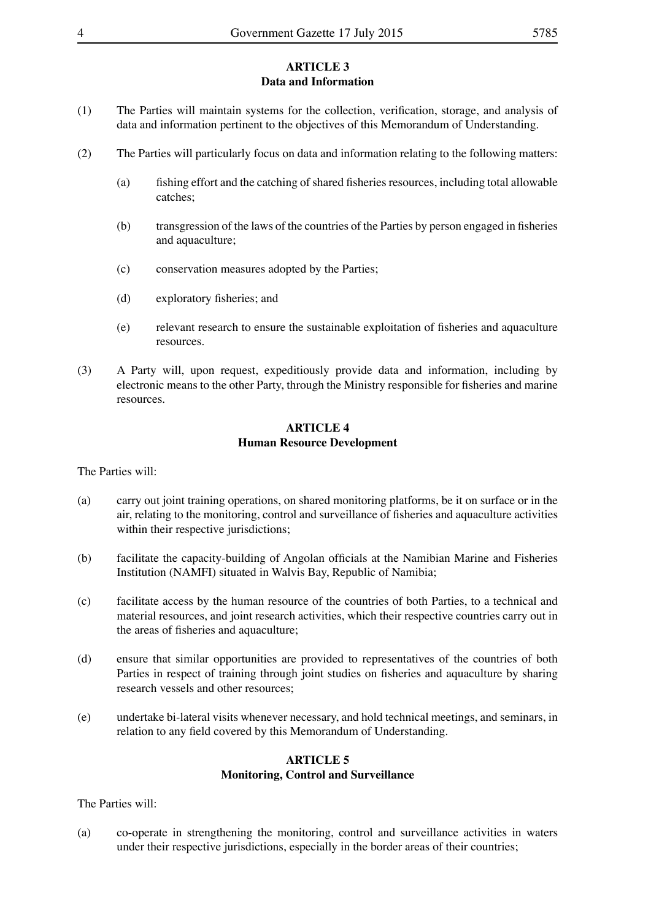#### **ARTICLE 3 Data and Information**

- (1) The Parties will maintain systems for the collection, verification, storage, and analysis of data and information pertinent to the objectives of this Memorandum of Understanding.
- (2) The Parties will particularly focus on data and information relating to the following matters:
	- (a) fishing effort and the catching of shared fisheries resources, including total allowable catches;
	- (b) transgression of the laws of the countries of the Parties by person engaged in fisheries and aquaculture;
	- (c) conservation measures adopted by the Parties;
	- (d) exploratory fisheries; and
	- (e) relevant research to ensure the sustainable exploitation of fisheries and aquaculture resources.
- (3) A Party will, upon request, expeditiously provide data and information, including by electronic means to the other Party, through the Ministry responsible for fisheries and marine resources.

#### **ARTICLE 4 Human Resource Development**

The Parties will:

- (a) carry out joint training operations, on shared monitoring platforms, be it on surface or in the air, relating to the monitoring, control and surveillance of fisheries and aquaculture activities within their respective jurisdictions;
- (b) facilitate the capacity-building of Angolan officials at the Namibian Marine and Fisheries Institution (NAMFI) situated in Walvis Bay, Republic of Namibia;
- (c) facilitate access by the human resource of the countries of both Parties, to a technical and material resources, and joint research activities, which their respective countries carry out in the areas of fisheries and aquaculture;
- (d) ensure that similar opportunities are provided to representatives of the countries of both Parties in respect of training through joint studies on fisheries and aquaculture by sharing research vessels and other resources;
- (e) undertake bi-lateral visits whenever necessary, and hold technical meetings, and seminars, in relation to any field covered by this Memorandum of Understanding.

#### **ARTICLE 5 Monitoring, Control and Surveillance**

The Parties will:

(a) co-operate in strengthening the monitoring, control and surveillance activities in waters under their respective jurisdictions, especially in the border areas of their countries;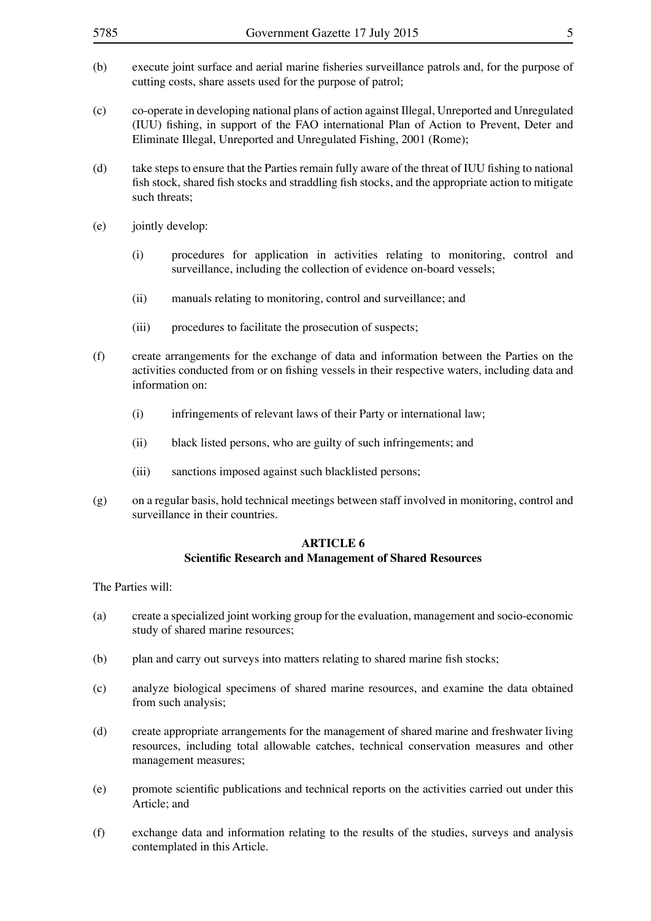| 5785                                                                              | Government Gazette 17 July 2015<br>5                                                                                                                                                                                                                            |                                                                                                                                                      |  |
|-----------------------------------------------------------------------------------|-----------------------------------------------------------------------------------------------------------------------------------------------------------------------------------------------------------------------------------------------------------------|------------------------------------------------------------------------------------------------------------------------------------------------------|--|
| (b)                                                                               | execute joint surface and aerial marine fisheries surveillance patrols and, for the purpose of<br>cutting costs, share assets used for the purpose of patrol;                                                                                                   |                                                                                                                                                      |  |
| (c)                                                                               | co-operate in developing national plans of action against Illegal, Unreported and Unregulated<br>(IUU) fishing, in support of the FAO international Plan of Action to Prevent, Deter and<br>Eliminate Illegal, Unreported and Unregulated Fishing, 2001 (Rome); |                                                                                                                                                      |  |
| (d)                                                                               | take steps to ensure that the Parties remain fully aware of the threat of IUU fishing to national<br>fish stock, shared fish stocks and straddling fish stocks, and the appropriate action to mitigate<br>such threats;                                         |                                                                                                                                                      |  |
| (e)                                                                               | jointly develop:                                                                                                                                                                                                                                                |                                                                                                                                                      |  |
|                                                                                   | (i)                                                                                                                                                                                                                                                             | procedures for application in activities relating to monitoring, control and<br>surveillance, including the collection of evidence on-board vessels; |  |
|                                                                                   | (ii)                                                                                                                                                                                                                                                            | manuals relating to monitoring, control and surveillance; and                                                                                        |  |
|                                                                                   | (iii)                                                                                                                                                                                                                                                           | procedures to facilitate the prosecution of suspects;                                                                                                |  |
| (f)                                                                               | create arrangements for the exchange of data and information between the Parties on the<br>activities conducted from or on fishing vessels in their respective waters, including data and<br>information on:                                                    |                                                                                                                                                      |  |
|                                                                                   | (i)                                                                                                                                                                                                                                                             | infringements of relevant laws of their Party or international law;                                                                                  |  |
|                                                                                   | (ii)                                                                                                                                                                                                                                                            | black listed persons, who are guilty of such infringements; and                                                                                      |  |
|                                                                                   | (iii)                                                                                                                                                                                                                                                           | sanctions imposed against such blacklisted persons;                                                                                                  |  |
| (g)                                                                               | on a regular basis, hold technical meetings between staff involved in monitoring, control and<br>surveillance in their countries.                                                                                                                               |                                                                                                                                                      |  |
| <b>ARTICLE 6</b><br><b>Scientific Research and Management of Shared Resources</b> |                                                                                                                                                                                                                                                                 |                                                                                                                                                      |  |
|                                                                                   | The Parties will:                                                                                                                                                                                                                                               |                                                                                                                                                      |  |
| (a)                                                                               | create a specialized joint working group for the evaluation, management and socio-economic<br>study of shared marine resources;                                                                                                                                 |                                                                                                                                                      |  |
| (b)                                                                               | plan and carry out surveys into matters relating to shared marine fish stocks;                                                                                                                                                                                  |                                                                                                                                                      |  |
| (c)                                                                               | analyze biological specimens of shared marine resources, and examine the data obtained<br>from such analysis;                                                                                                                                                   |                                                                                                                                                      |  |

- (d) create appropriate arrangements for the management of shared marine and freshwater living resources, including total allowable catches, technical conservation measures and other management measures;
- (e) promote scientific publications and technical reports on the activities carried out under this Article; and
- (f) exchange data and information relating to the results of the studies, surveys and analysis contemplated in this Article.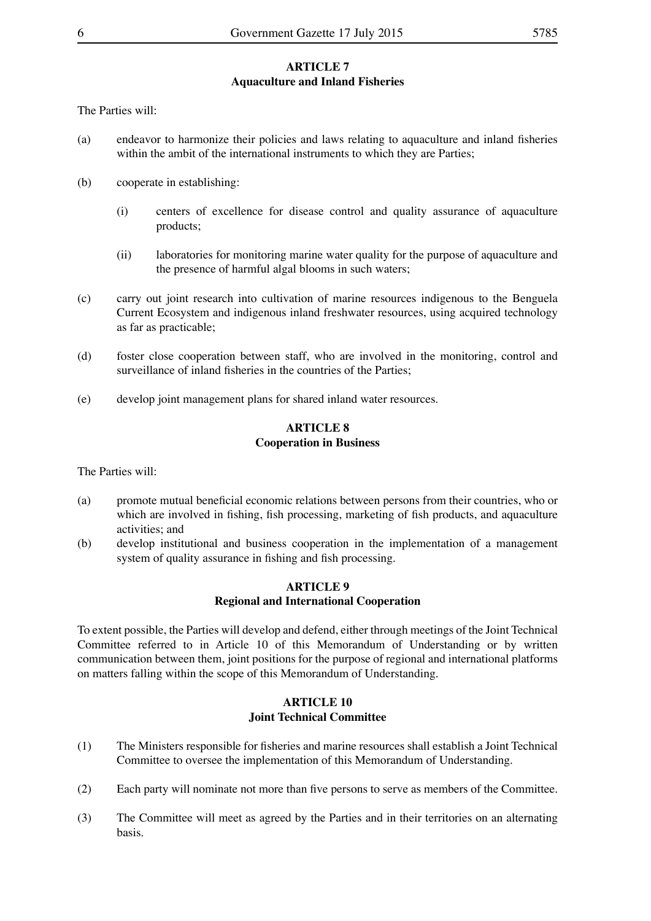#### **ARTICLE 7 Aquaculture and Inland Fisheries**

The Parties will:

- (a) endeavor to harmonize their policies and laws relating to aquaculture and inland fisheries within the ambit of the international instruments to which they are Parties;
- (b) cooperate in establishing:
	- (i) centers of excellence for disease control and quality assurance of aquaculture products;
	- (ii) laboratories for monitoring marine water quality for the purpose of aquaculture and the presence of harmful algal blooms in such waters;
- (c) carry out joint research into cultivation of marine resources indigenous to the Benguela Current Ecosystem and indigenous inland freshwater resources, using acquired technology as far as practicable;
- (d) foster close cooperation between staff, who are involved in the monitoring, control and surveillance of inland fisheries in the countries of the Parties;
- (e) develop joint management plans for shared inland water resources.

#### **ARTICLE 8 Cooperation in Business**

The Parties will:

- (a) promote mutual beneficial economic relations between persons from their countries, who or which are involved in fishing, fish processing, marketing of fish products, and aquaculture activities; and
- (b) develop institutional and business cooperation in the implementation of a management system of quality assurance in fishing and fish processing.

#### **ARTICLE 9 Regional and International Cooperation**

To extent possible, the Parties will develop and defend, either through meetings of the Joint Technical Committee referred to in Article 10 of this Memorandum of Understanding or by written communication between them, joint positions for the purpose of regional and international platforms on matters falling within the scope of this Memorandum of Understanding.

#### **ARTICLE 10 Joint Technical Committee**

- (1) The Ministers responsible for fisheries and marine resources shall establish a Joint Technical Committee to oversee the implementation of this Memorandum of Understanding.
- (2) Each party will nominate not more than five persons to serve as members of the Committee.
- (3) The Committee will meet as agreed by the Parties and in their territories on an alternating basis.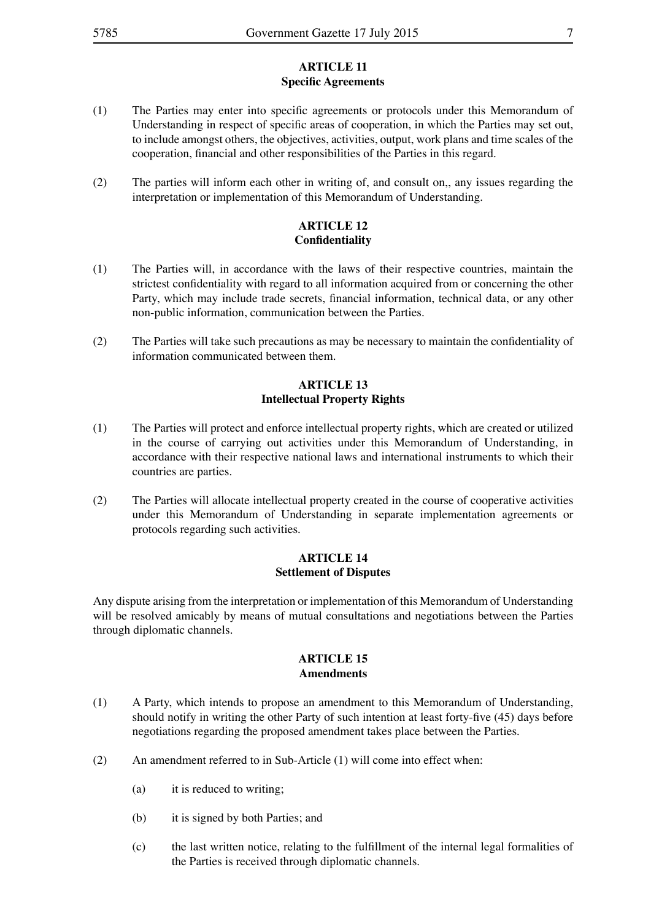#### **ARTICLE 11 Specific Agreements**

- (1) The Parties may enter into specific agreements or protocols under this Memorandum of Understanding in respect of specific areas of cooperation, in which the Parties may set out, to include amongst others, the objectives, activities, output, work plans and time scales of the cooperation, financial and other responsibilities of the Parties in this regard.
- (2) The parties will inform each other in writing of, and consult on,, any issues regarding the interpretation or implementation of this Memorandum of Understanding.

#### **ARTICLE 12 Confidentiality**

- (1) The Parties will, in accordance with the laws of their respective countries, maintain the strictest confidentiality with regard to all information acquired from or concerning the other Party, which may include trade secrets, financial information, technical data, or any other non-public information, communication between the Parties.
- (2) The Parties will take such precautions as may be necessary to maintain the confidentiality of information communicated between them.

#### **ARTICLE 13 Intellectual Property Rights**

- (1) The Parties will protect and enforce intellectual property rights, which are created or utilized in the course of carrying out activities under this Memorandum of Understanding, in accordance with their respective national laws and international instruments to which their countries are parties.
- (2) The Parties will allocate intellectual property created in the course of cooperative activities under this Memorandum of Understanding in separate implementation agreements or protocols regarding such activities.

#### **ARTICLE 14 Settlement of Disputes**

Any dispute arising from the interpretation or implementation of this Memorandum of Understanding will be resolved amicably by means of mutual consultations and negotiations between the Parties through diplomatic channels.

#### **ARTICLE 15 Amendments**

- (1) A Party, which intends to propose an amendment to this Memorandum of Understanding, should notify in writing the other Party of such intention at least forty-five (45) days before negotiations regarding the proposed amendment takes place between the Parties.
- (2) An amendment referred to in Sub-Article (1) will come into effect when:
	- (a) it is reduced to writing;
	- (b) it is signed by both Parties; and
	- (c) the last written notice, relating to the fulfillment of the internal legal formalities of the Parties is received through diplomatic channels.